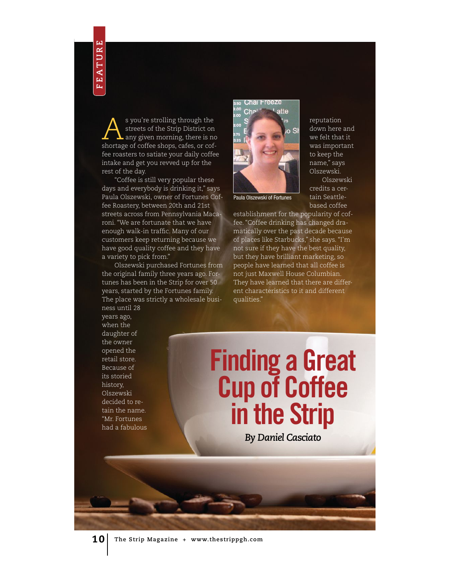$\sum_{\substack{\text{streets of the strip Distric to an any given morning, there is no chosen of coffee chosen.} }$ streets of the Strip District on shortage of coffee shops, cafes, or coffee roasters to satiate your daily coffee intake and get you revved up for the rest of the day.

"Coffee is still very popular these days and everybody is drinking it," says Paula Olszewski, owner of Fortunes Coffee Roastery, between 20th and 21st streets across from Pennsylvania Macaroni. "We are fortunate that we have enough walk-in traffc. Many of our customers keep returning because we have good quality coffee and they have a variety to pick from." 10 **The Strip Magazine + www.thestrippgh.com**<br>
10 **The Strip Magazine + www.thestrippg.com**<br>
10 **The Strip Magazine + www.thestrippg.com**<br>
10 **The Strip Magazine + www.thestrippg.com**<br>
10 **The Strip Magazine + www.thestrip** 

Olszewski purchased Fortunes from the original family three years ago. Fortunes has been in the Strip for over 50 years, started by the Fortunes family. The place was strictly a wholesale busi-



reputation down here and we felt that it was important to keep the name," says Olszewski. Olszewski

credits a certain Seattle-

Paula Olszewski of Fortunes

based coffee establishment for the popularity of coffee. "Coffee drinking has changed dramatically over the past decade because of places like Starbucks," she says. "I'm not sure if they have the best quality, but they have brilliant marketing, so people have learned that all coffee is not just Maxwell House Columbian. They have learned that there are different characteristics to it and different qualities."

ness until 28 years ago, when the daughter of the owner opened the retail store. Because of its storied history, Olszewski decided to retain the name. "Mr. Fortunes had a fabulous

# Finding a Great Cup of Coffee in the Strip

*By Daniel Casciato*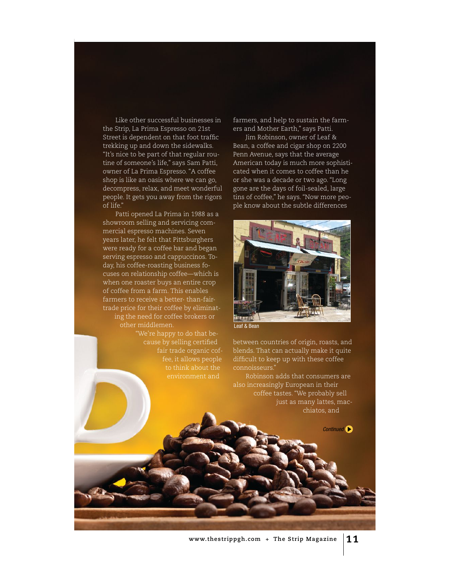Like other successful businesses in the Strip, La Prima Espresso on 21st Street is dependent on that foot traffc trekking up and down the sidewalks. "It's nice to be part of that regular routine of someone's life," says Sam Patti, owner of La Prima Espresso. "A coffee shop is like an oasis where we can go, decompress, relax, and meet wonderful people. It gets you away from the rigors of life."

Patti opened La Prima in 1988 as a showroom selling and servicing commercial espresso machines. Seven years later, he felt that Pittsburghers were ready for a coffee bar and began serving espresso and cappuccinos. Today, his coffee-roasting business focuses on relationship coffee—which is when one roaster buys an entire crop of coffee from a farm. This enables farmers to receive a better- than-fairtrade price for their coffee by eliminating the need for coffee brokers or other middlemen.

> "We're happy to do that because by selling certifed fair trade organic coffee, it allows people to think about the

farmers, and help to sustain the farmers and Mother Earth," says Patti.

Jim Robinson, owner of Leaf & Bean, a coffee and cigar shop on 2200 Penn Avenue, says that the average American today is much more sophisticated when it comes to coffee than he or she was a decade or two ago. "Long gone are the days of foil-sealed, large tins of coffee," he says. "Now more people know about the subtle differences



Leaf & Bean

between countries of origin, roasts, and blends. That can actually make it quite diffcult to keep up with these coffee connoisseurs."

Robinson adds that consumers are also increasingly European in their coffee tastes. "We probably sell just as many lattes, macchiatos, and

Continued<sup>1</sup>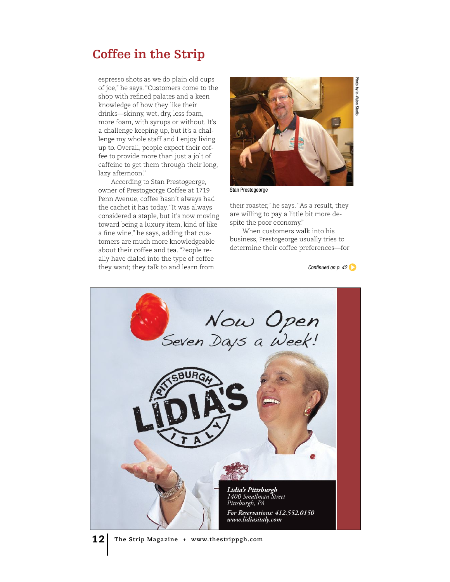### **Coffee in the Strip**

espresso shots as we do plain old cups of joe," he says. "Customers come to the shop with refned palates and a keen knowledge of how they like their drinks—skinny, wet, dry, less foam, more foam, with syrups or without. It's a challenge keeping up, but it's a challenge my whole staff and I enjoy living up to. Overall, people expect their coffee to provide more than just a jolt of caffeine to get them through their long, lazy afternoon."

According to Stan Prestogeorge, owner of Prestogeorge Coffee at 1719 Penn Avenue, coffee hasn't always had the cachet it has today. "It was always considered a staple, but it's now moving toward being a luxury item, kind of like a fne wine," he says, adding that customers are much more knowledgeable about their coffee and tea. "People really have dialed into the type of coffee they want; they talk to and learn from



Stan Prestogeorge

spite the poor economy." their roaster," he says. "As a result, they are willing to pay a little bit more de-

When customers walk into his business, Prestogeorge usually tries to determine their coffee preferences—for

Continued on  $p.42$ 



12 **The Strip Magazine + www.thestrippgh.com**